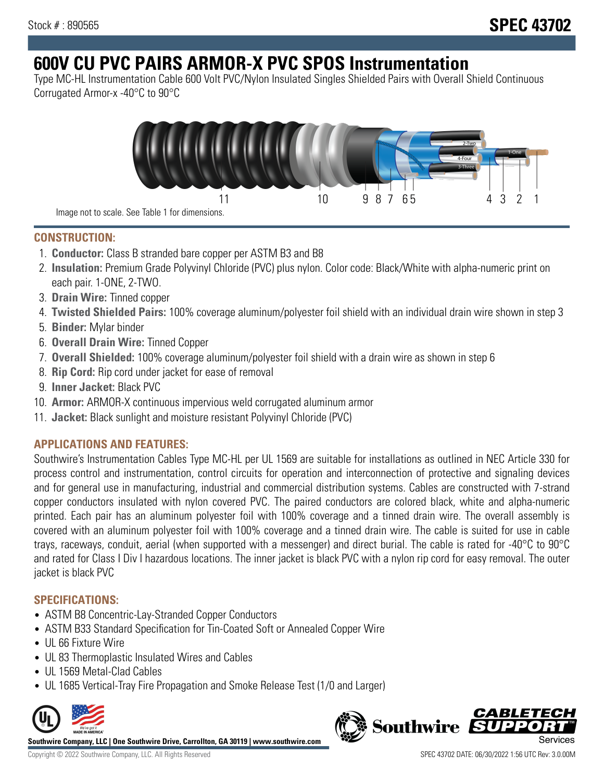# **600V CU PVC PAIRS ARMOR-X PVC SPOS Instrumentation**

Type MC-HL Instrumentation Cable 600 Volt PVC/Nylon Insulated Singles Shielded Pairs with Overall Shield Continuous Corrugated Armor-x -40°C to 90°C



**CONSTRUCTION:**

- 1. **Conductor:** Class B stranded bare copper per ASTM B3 and B8
- 2. **Insulation:** Premium Grade Polyvinyl Chloride (PVC) plus nylon. Color code: Black/White with alpha-numeric print on each pair. 1-ONE, 2-TWO.
- 3. **Drain Wire:** Tinned copper
- 4. **Twisted Shielded Pairs:** 100% coverage aluminum/polyester foil shield with an individual drain wire shown in step 3
- 5. **Binder:** Mylar binder
- 6. **Overall Drain Wire:** Tinned Copper
- 7. **Overall Shielded:** 100% coverage aluminum/polyester foil shield with a drain wire as shown in step 6
- 8. **Rip Cord:** Rip cord under jacket for ease of removal
- 9. **Inner Jacket:** Black PVC
- 10. **Armor:** ARMOR-X continuous impervious weld corrugated aluminum armor
- 11. **Jacket:** Black sunlight and moisture resistant Polyvinyl Chloride (PVC)

# **APPLICATIONS AND FEATURES:**

Southwire's Instrumentation Cables Type MC-HL per UL 1569 are suitable for installations as outlined in NEC Article 330 for process control and instrumentation, control circuits for operation and interconnection of protective and signaling devices and for general use in manufacturing, industrial and commercial distribution systems. Cables are constructed with 7-strand copper conductors insulated with nylon covered PVC. The paired conductors are colored black, white and alpha-numeric printed. Each pair has an aluminum polyester foil with 100% coverage and a tinned drain wire. The overall assembly is covered with an aluminum polyester foil with 100% coverage and a tinned drain wire. The cable is suited for use in cable trays, raceways, conduit, aerial (when supported with a messenger) and direct burial. The cable is rated for -40°C to 90°C and rated for Class I Div I hazardous locations. The inner jacket is black PVC with a nylon rip cord for easy removal. The outer jacket is black PVC

## **SPECIFICATIONS:**

- ASTM B8 Concentric-Lay-Stranded Copper Conductors
- ASTM B33 Standard Specification for Tin-Coated Soft or Annealed Copper Wire
- UL 66 Fixture Wire
- UL 83 Thermoplastic Insulated Wires and Cables
- UL 1569 Metal-Clad Cables
- UL 1685 Vertical-Tray Fire Propagation and Smoke Release Test (1/0 and Larger)



**Southwire Company, LLC | One Southwire Drive, Carrollton, GA 30119 | www.southwire.com**